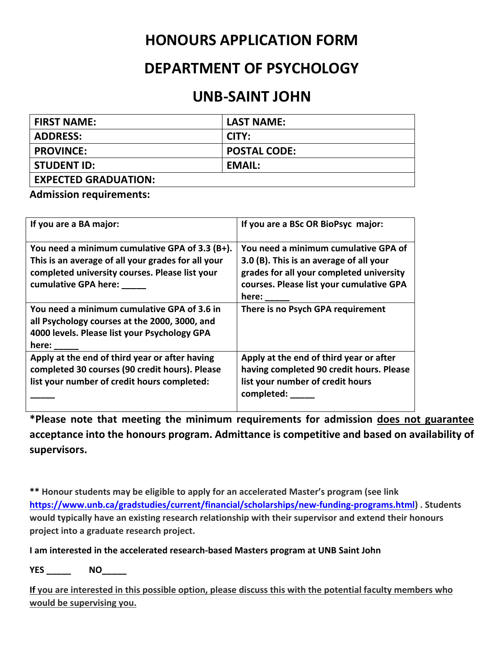## **HONOURS APPLICATION FORM**

## **DEPARTMENT OF PSYCHOLOGY**

## **UNB‐SAINT JOHN**

| <b>FIRST NAME:</b>          | <b>LAST NAME:</b>   |
|-----------------------------|---------------------|
| <b>ADDRESS:</b>             | CITY:               |
| <b>PROVINCE:</b>            | <b>POSTAL CODE:</b> |
| <b>STUDENT ID:</b>          | EMAIL:              |
| <b>EXPECTED GRADUATION:</b> |                     |

**Admission requirements:** 

| If you are a BA major:                                                                                                                                                               | If you are a BSc OR BioPsyc major:                                                                                                                                                      |
|--------------------------------------------------------------------------------------------------------------------------------------------------------------------------------------|-----------------------------------------------------------------------------------------------------------------------------------------------------------------------------------------|
| You need a minimum cumulative GPA of 3.3 (B+).<br>This is an average of all your grades for all your<br>completed university courses. Please list your<br>cumulative GPA here: _____ | You need a minimum cumulative GPA of<br>3.0 (B). This is an average of all your<br>grades for all your completed university<br>courses. Please list your cumulative GPA<br>here: $\_\_$ |
| You need a minimum cumulative GPA of 3.6 in<br>all Psychology courses at the 2000, 3000, and<br>4000 levels. Please list your Psychology GPA<br>here: ______                         | There is no Psych GPA requirement                                                                                                                                                       |
| Apply at the end of third year or after having<br>completed 30 courses (90 credit hours). Please<br>list your number of credit hours completed:                                      | Apply at the end of third year or after<br>having completed 90 credit hours. Please<br>list your number of credit hours<br>completed:                                                   |

**\*Please note that meeting the minimum requirements for admission does not guarantee acceptance into the honours program. Admittance is competitive and based on availability of supervisors.** 

**\*\* Honour students may be eligible to apply for an accelerated Master's program (see link https://www.unb.ca/gradstudies/current/financial/scholarships/new‐funding‐programs.html) . Students would typically have an existing research relationship with their supervisor and extend their honours project into a graduate research project.** 

**I am interested in the accelerated research‐based Masters program at UNB Saint John** 

**YES \_\_\_\_\_ NO\_\_\_\_\_** 

**If you are interested in this possible option, please discuss this with the potential faculty members who would be supervising you.**